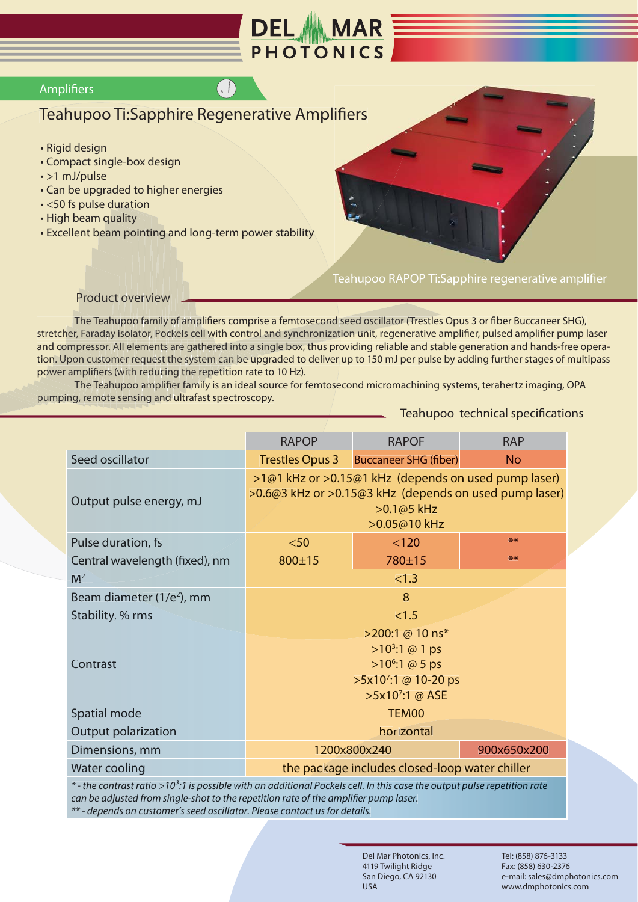

## **Amplifiers**

## Teahupoo Ti:Sapphire Regenerative Amplifiers

 $\binom{n}{k}$ 

- · Rigid design
- Compact single-box design
- $\cdot$  >1 mJ/pulse
- Can be upgraded to higher energies
- · <50 fs pulse duration
- . High beam quality
- Excellent beam pointing and long-term power stability

## Teahupoo RAPOP Ti:Sapphire regenerative amplifier

**Product overview** 

The Teahupoo family of amplifiers comprise a femtosecond seed oscillator (Trestles Opus 3 or fiber Buccaneer SHG), stretcher, Faraday isolator, Pockels cell with control and synchronization unit, regenerative amplifier, pulsed amplifier pump laser and compressor. All elements are gathered into a single box, thus providing reliable and stable generation and hands-free operation. Upon customer request the system can be upgraded to deliver up to 150 mJ per pulse by adding further stages of multipass power amplifiers (with reducing the repetition rate to 10 Hz).

The Teahupoo amplifier family is an ideal source for femtosecond micromachining systems, terahertz imaging, OPA pumping, remote sensing and ultrafast spectroscopy.

Teahupoo technical specifications

|                                                                                                                                       | <b>RAPOP</b>                                                                                                                                                   | <b>RAPOF</b>                 | <b>RAP</b>  |
|---------------------------------------------------------------------------------------------------------------------------------------|----------------------------------------------------------------------------------------------------------------------------------------------------------------|------------------------------|-------------|
| Seed oscillator                                                                                                                       | <b>Trestles Opus 3</b>                                                                                                                                         | <b>Buccaneer SHG (fiber)</b> | <b>No</b>   |
| Output pulse energy, mJ                                                                                                               | >1@1 kHz or >0.15@1 kHz (depends on used pump laser)<br>>0.6@3 kHz or >0.15@3 kHz (depends on used pump laser)<br>>0.1@5 kHz<br>>0.05@10 kHz                   |                              |             |
| Pulse duration, fs                                                                                                                    | $50$                                                                                                                                                           | < 120                        | $**$        |
| Central wavelength (fixed), nm                                                                                                        | $800 \pm 15$                                                                                                                                                   | 780±15                       | $**$        |
| M <sup>2</sup>                                                                                                                        | < 1.3                                                                                                                                                          |                              |             |
| Beam diameter (1/e <sup>2</sup> ), mm                                                                                                 | 8                                                                                                                                                              |                              |             |
| Stability, % rms                                                                                                                      | < 1.5                                                                                                                                                          |                              |             |
| Contrast                                                                                                                              | >200:1 @ 10 ns*<br>$>10^3:1 \text{ } \textcircled{a} 1 \text{ ps}$<br>$>10^6:1 \text{ } \textcircled{a} 5 \text{ ps}$<br>>5x10':1 @ 10-20 ps<br>>5x10':1 @ ASE |                              |             |
| Spatial mode                                                                                                                          | TEM00                                                                                                                                                          |                              |             |
| <b>Output polarization</b>                                                                                                            | horizontal                                                                                                                                                     |                              |             |
| Dimensions, mm                                                                                                                        |                                                                                                                                                                | 1200x800x240                 | 900x650x200 |
| Water cooling                                                                                                                         | the package includes closed-loop water chiller                                                                                                                 |                              |             |
| * - the contrast ratio >10 <sup>3</sup> :1 is possible with an additional Pockels cell. In this case the output pulse repetition rate |                                                                                                                                                                |                              |             |

can be adjusted from single-shot to the repetition rate of the amplifier pump laser. \*\* - depends on customer's seed oscillator. Please contact us for details.

> Del Mar Photonics, Inc. 4119 Twilight Ridge San Diego, CA 92130 **USA**

Tel: (858) 876-3133 Fax: (858) 630-2376 e-mail: sales@dmphotonics.com www.dmphotonics.com